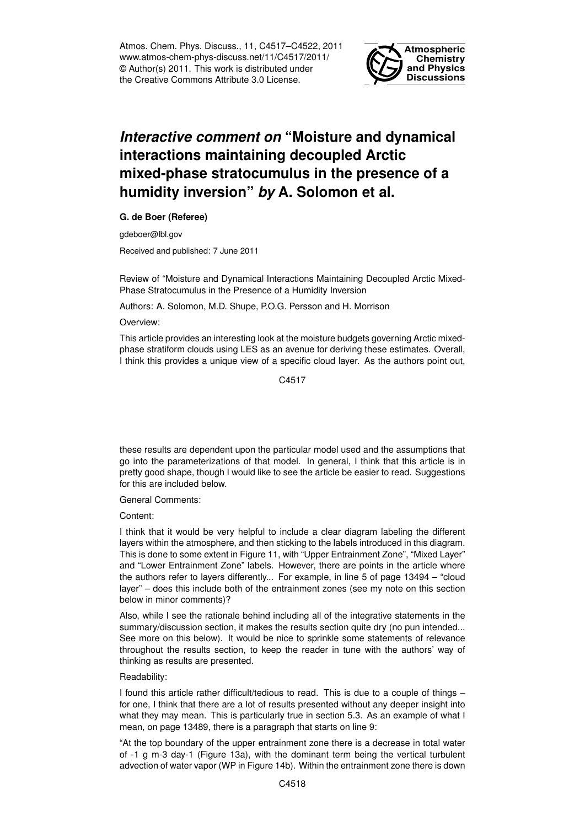Atmos. Chem. Phys. Discuss., 11, C4517–C4522, 2011 www.atmos-chem-phys-discuss.net/11/C4517/2011/ © Author(s) 2011. This work is distributed under the Creative Commons Attribute 3.0 License.



## *Interactive comment on* **"Moisture and dynamical interactions maintaining decoupled Arctic mixed-phase stratocumulus in the presence of a humidity inversion"** *by* **A. Solomon et al.**

**G. de Boer (Referee)**

gdeboer@lbl.gov

Received and published: 7 June 2011

Review of "Moisture and Dynamical Interactions Maintaining Decoupled Arctic Mixed-Phase Stratocumulus in the Presence of a Humidity Inversion

Authors: A. Solomon, M.D. Shupe, P.O.G. Persson and H. Morrison

## Overview:

This article provides an interesting look at the moisture budgets governing Arctic mixedphase stratiform clouds using LES as an avenue for deriving these estimates. Overall, I think this provides a unique view of a specific cloud layer. As the authors point out,

C4517

these results are dependent upon the particular model used and the assumptions that go into the parameterizations of that model. In general, I think that this article is in pretty good shape, though I would like to see the article be easier to read. Suggestions for this are included below.

General Comments:

Content:

I think that it would be very helpful to include a clear diagram labeling the different layers within the atmosphere, and then sticking to the labels introduced in this diagram. This is done to some extent in Figure 11, with "Upper Entrainment Zone", "Mixed Layer" and "Lower Entrainment Zone" labels. However, there are points in the article where the authors refer to layers differently... For example, in line 5 of page 13494 – "cloud layer" – does this include both of the entrainment zones (see my note on this section below in minor comments)?

Also, while I see the rationale behind including all of the integrative statements in the summary/discussion section, it makes the results section quite dry (no pun intended... See more on this below). It would be nice to sprinkle some statements of relevance throughout the results section, to keep the reader in tune with the authors' way of thinking as results are presented.

## Readability:

I found this article rather difficult/tedious to read. This is due to a couple of things – for one, I think that there are a lot of results presented without any deeper insight into what they may mean. This is particularly true in section 5.3. As an example of what I mean, on page 13489, there is a paragraph that starts on line 9:

"At the top boundary of the upper entrainment zone there is a decrease in total water of -1 g m-3 day-1 (Figure 13a), with the dominant term being the vertical turbulent advection of water vapor (WP in Figure 14b). Within the entrainment zone there is down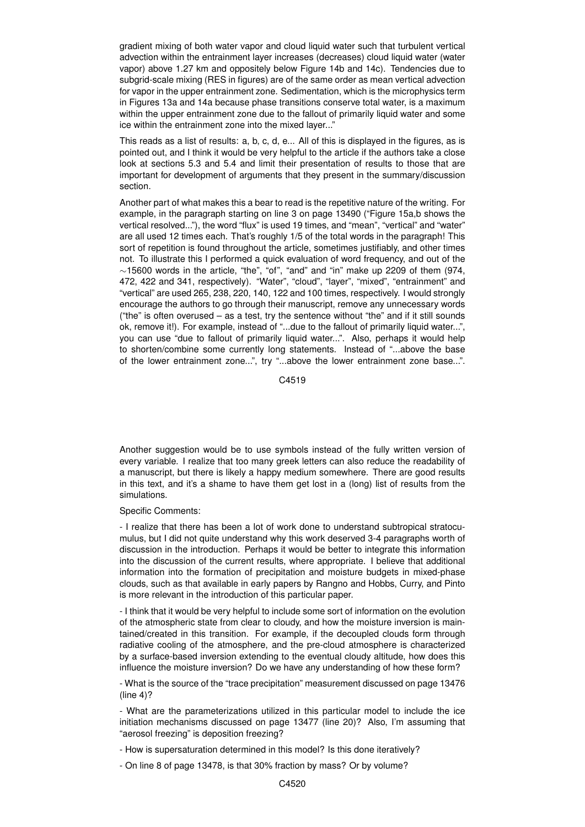gradient mixing of both water vapor and cloud liquid water such that turbulent vertical advection within the entrainment layer increases (decreases) cloud liquid water (water vapor) above 1.27 km and oppositely below Figure 14b and 14c). Tendencies due to subgrid-scale mixing (RES in figures) are of the same order as mean vertical advection for vapor in the upper entrainment zone. Sedimentation, which is the microphysics term in Figures 13a and 14a because phase transitions conserve total water, is a maximum within the upper entrainment zone due to the fallout of primarily liquid water and some ice within the entrainment zone into the mixed layer..."

This reads as a list of results: a, b, c, d, e... All of this is displayed in the figures, as is pointed out, and I think it would be very helpful to the article if the authors take a close look at sections 5.3 and 5.4 and limit their presentation of results to those that are important for development of arguments that they present in the summary/discussion section.

Another part of what makes this a bear to read is the repetitive nature of the writing. For example, in the paragraph starting on line 3 on page 13490 ("Figure 15a,b shows the vertical resolved..."), the word "flux" is used 19 times, and "mean", "vertical" and "water" are all used 12 times each. That's roughly 1/5 of the total words in the paragraph! This sort of repetition is found throughout the article, sometimes justifiably, and other times not. To illustrate this I performed a quick evaluation of word frequency, and out of the ∼15600 words in the article, "the", "of", "and" and "in" make up 2209 of them (974, 472, 422 and 341, respectively). "Water", "cloud", "layer", "mixed", "entrainment" and "vertical" are used 265, 238, 220, 140, 122 and 100 times, respectively. I would strongly encourage the authors to go through their manuscript, remove any unnecessary words ("the" is often overused – as a test, try the sentence without "the" and if it still sounds ok, remove it!). For example, instead of "...due to the fallout of primarily liquid water...", you can use "due to fallout of primarily liquid water...". Also, perhaps it would help to shorten/combine some currently long statements. Instead of "...above the base of the lower entrainment zone...", try "...above the lower entrainment zone base...".

C4519

Another suggestion would be to use symbols instead of the fully written version of every variable. I realize that too many greek letters can also reduce the readability of a manuscript, but there is likely a happy medium somewhere. There are good results in this text, and it's a shame to have them get lost in a (long) list of results from the simulations.

Specific Comments:

- I realize that there has been a lot of work done to understand subtropical stratocumulus, but I did not quite understand why this work deserved 3-4 paragraphs worth of discussion in the introduction. Perhaps it would be better to integrate this information into the discussion of the current results, where appropriate. I believe that additional information into the formation of precipitation and moisture budgets in mixed-phase clouds, such as that available in early papers by Rangno and Hobbs, Curry, and Pinto is more relevant in the introduction of this particular paper.

- I think that it would be very helpful to include some sort of information on the evolution of the atmospheric state from clear to cloudy, and how the moisture inversion is maintained/created in this transition. For example, if the decoupled clouds form through radiative cooling of the atmosphere, and the pre-cloud atmosphere is characterized by a surface-based inversion extending to the eventual cloudy altitude, how does this influence the moisture inversion? Do we have any understanding of how these form?

- What is the source of the "trace precipitation" measurement discussed on page 13476 (line 4)?

- What are the parameterizations utilized in this particular model to include the ice initiation mechanisms discussed on page 13477 (line 20)? Also, I'm assuming that "aerosol freezing" is deposition freezing?

- How is supersaturation determined in this model? Is this done iteratively?

- On line 8 of page 13478, is that 30% fraction by mass? Or by volume?